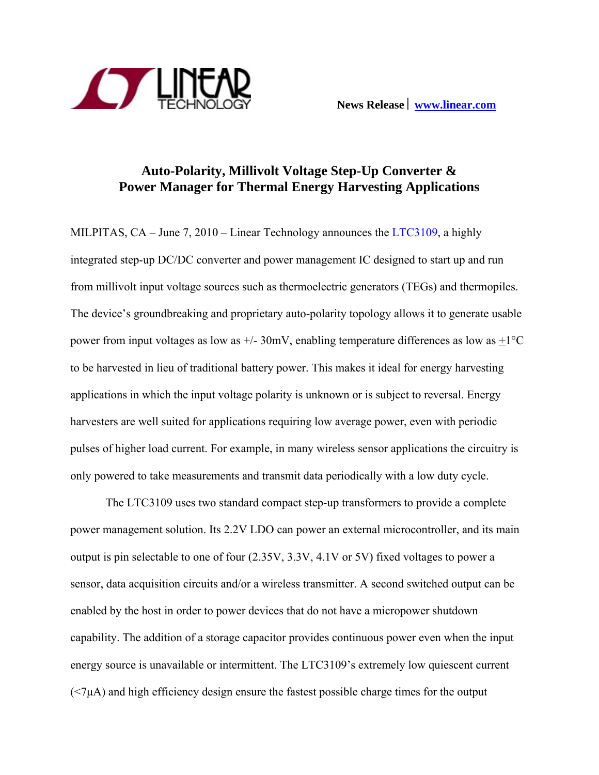

# **Auto-Polarity, Millivolt Voltage Step-Up Converter & Power Manager for Thermal Energy Harvesting Applications**

MILPITAS, CA – June 7, 2010 – Linear Technology announces the [LTC3109,](http://www.linear.com/pr/3109) a highly integrated step-up DC/DC converter and power management IC designed to start up and run from millivolt input voltage sources such as thermoelectric generators (TEGs) and thermopiles. The device's groundbreaking and proprietary auto-polarity topology allows it to generate usable power from input voltages as low as  $\pm$ /- 30mV, enabling temperature differences as low as  $\pm$ 1°C to be harvested in lieu of traditional battery power. This makes it ideal for energy harvesting applications in which the input voltage polarity is unknown or is subject to reversal. Energy harvesters are well suited for applications requiring low average power, even with periodic pulses of higher load current. For example, in many wireless sensor applications the circuitry is only powered to take measurements and transmit data periodically with a low duty cycle.

The LTC3109 uses two standard compact step-up transformers to provide a complete power management solution. Its 2.2V LDO can power an external microcontroller, and its main output is pin selectable to one of four (2.35V, 3.3V, 4.1V or 5V) fixed voltages to power a sensor, data acquisition circuits and/or a wireless transmitter. A second switched output can be enabled by the host in order to power devices that do not have a micropower shutdown capability. The addition of a storage capacitor provides continuous power even when the input energy source is unavailable or intermittent. The LTC3109's extremely low quiescent current  $(\leq 7\mu A)$  and high efficiency design ensure the fastest possible charge times for the output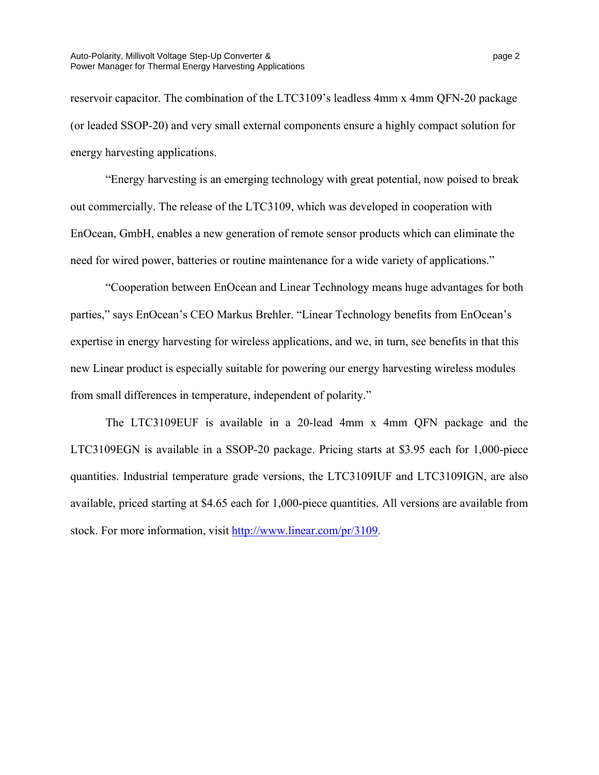reservoir capacitor. The combination of the LTC3109's leadless 4mm x 4mm QFN-20 package (or leaded SSOP-20) and very small external components ensure a highly compact solution for energy harvesting applications.

"Energy harvesting is an emerging technology with great potential, now poised to break out commercially. The release of the LTC3109, which was developed in cooperation with EnOcean, GmbH, enables a new generation of remote sensor products which can eliminate the need for wired power, batteries or routine maintenance for a wide variety of applications."

"Cooperation between EnOcean and Linear Technology means huge advantages for both parties," says EnOcean's CEO Markus Brehler. "Linear Technology benefits from EnOcean's expertise in energy harvesting for wireless applications, and we, in turn, see benefits in that this new Linear product is especially suitable for powering our energy harvesting wireless modules from small differences in temperature, independent of polarity."

The LTC3109EUF is available in a 20-lead 4mm x 4mm QFN package and the LTC3109EGN is available in a SSOP-20 package. Pricing starts at \$3.95 each for 1,000-piece quantities. Industrial temperature grade versions, the LTC3109IUF and LTC3109IGN, are also available, priced starting at \$4.65 each for 1,000-piece quantities. All versions are available from stock. For more information, visit<http://www.linear.com/pr/3109>.